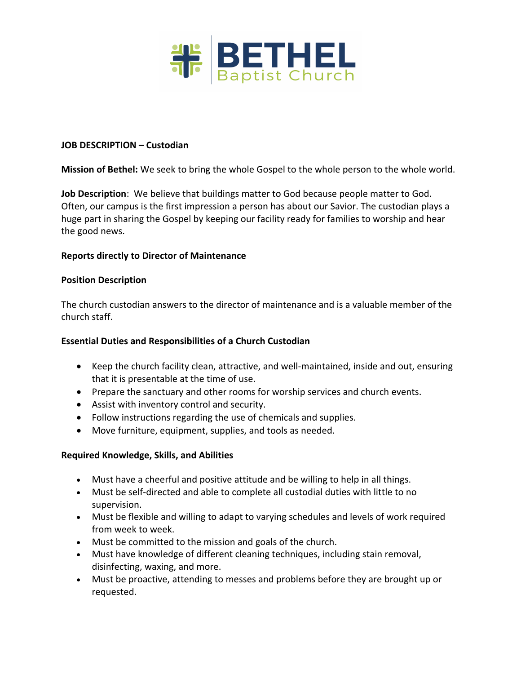

#### **JOB DESCRIPTION – Custodian**

**Mission of Bethel:** We seek to bring the whole Gospel to the whole person to the whole world.

**Job Description**: We believe that buildings matter to God because people matter to God. Often, our campus is the first impression a person has about our Savior. The custodian plays a huge part in sharing the Gospel by keeping our facility ready for families to worship and hear the good news.

## **Reports directly to Director of Maintenance**

#### **Position Description**

The church custodian answers to the director of maintenance and is a valuable member of the church staff.

#### **Essential Duties and Responsibilities of a Church Custodian**

- Keep the church facility clean, attractive, and well-maintained, inside and out, ensuring that it is presentable at the time of use.
- Prepare the sanctuary and other rooms for worship services and church events.
- Assist with inventory control and security.
- Follow instructions regarding the use of chemicals and supplies.
- Move furniture, equipment, supplies, and tools as needed.

#### **Required Knowledge, Skills, and Abilities**

- Must have a cheerful and positive attitude and be willing to help in all things.
- Must be self-directed and able to complete all custodial duties with little to no supervision.
- Must be flexible and willing to adapt to varying schedules and levels of work required from week to week.
- Must be committed to the mission and goals of the church.
- Must have knowledge of different cleaning techniques, including stain removal, disinfecting, waxing, and more.
- Must be proactive, attending to messes and problems before they are brought up or requested.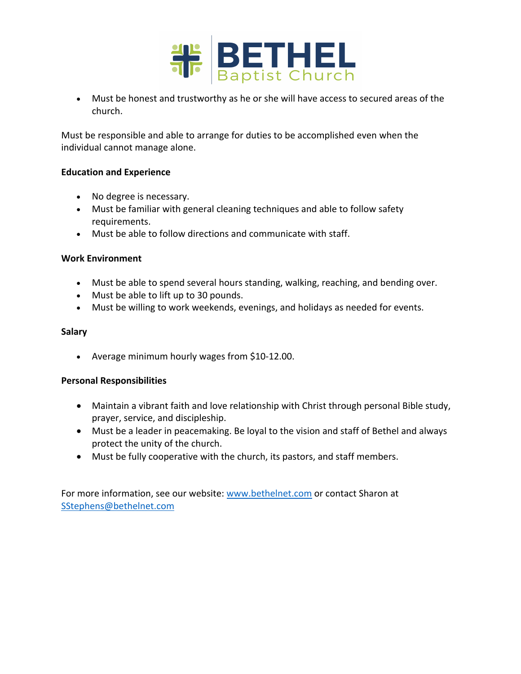

• Must be honest and trustworthy as he or she will have access to secured areas of the church.

Must be responsible and able to arrange for duties to be accomplished even when the individual cannot manage alone.

## **Education and Experience**

- No degree is necessary.
- Must be familiar with general cleaning techniques and able to follow safety requirements.
- Must be able to follow directions and communicate with staff.

## **Work Environment**

- Must be able to spend several hours standing, walking, reaching, and bending over.
- Must be able to lift up to 30 pounds.
- Must be willing to work weekends, evenings, and holidays as needed for events.

## **Salary**

• Average minimum hourly wages from \$10-12.00.

# **Personal Responsibilities**

- Maintain a vibrant faith and love relationship with Christ through personal Bible study, prayer, service, and discipleship.
- Must be a leader in peacemaking. Be loyal to the vision and staff of Bethel and always protect the unity of the church.
- Must be fully cooperative with the church, its pastors, and staff members.

For more information, see our website: www.bethelnet.com or contact Sharon at SStephens@bethelnet.com